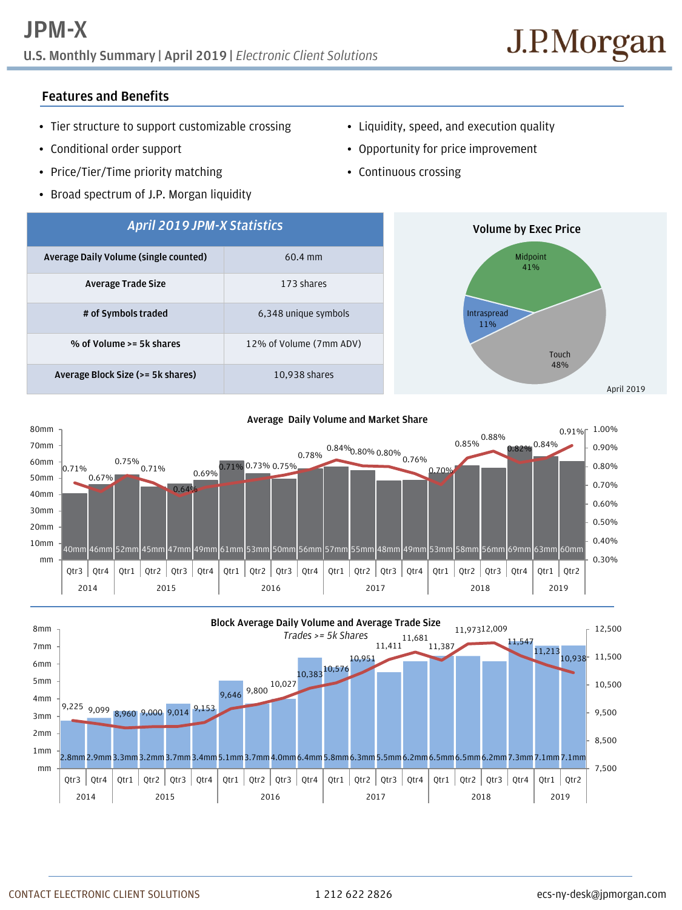## **U.S. Monthly Summary | April 2019 |** *Electronic Client Solutions*

## **Features and Benefits**

- Tier structure to support customizable crossing
- Conditional order support
- Price/Tier/Time priority matching
- Broad spectrum of J.P. Morgan liquidity
- Liquidity, speed, and execution quality
- Opportunity for price improvement
- Continuous crossing







CONTACT ELECTRONIC CLIENT SOLUTIONS 1 212 622 2826 ecs-ny-desk@jpmorgan.com